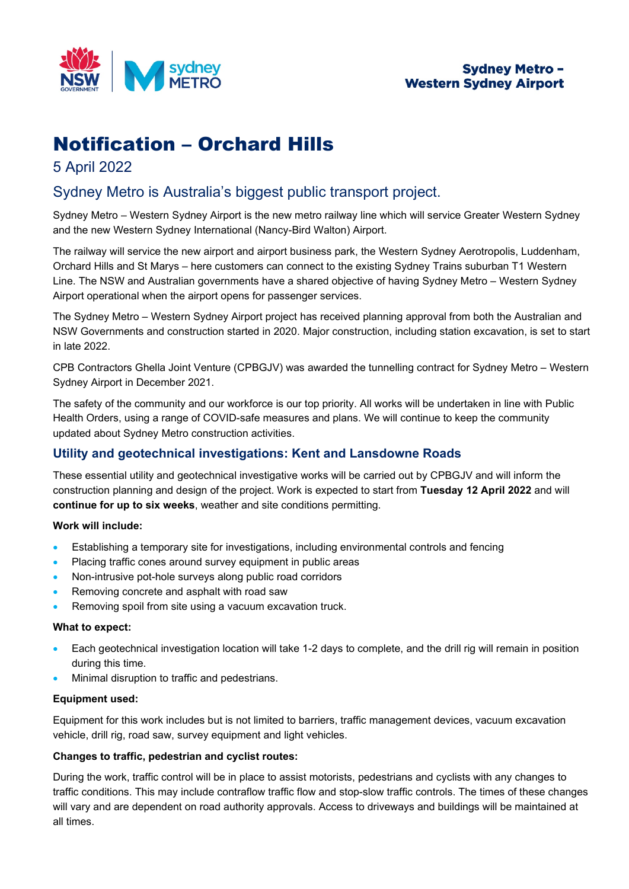

# Notification – Orchard Hills

# 5 April 2022

# Sydney Metro is Australia's biggest public transport project.

Sydney Metro – Western Sydney Airport is the new metro railway line which will service Greater Western Sydney and the new Western Sydney International (Nancy-Bird Walton) Airport.

The railway will service the new airport and airport business park, the Western Sydney Aerotropolis, Luddenham, Orchard Hills and St Marys – here customers can connect to the existing Sydney Trains suburban T1 Western Line. The NSW and Australian governments have a shared objective of having Sydney Metro – Western Sydney Airport operational when the airport opens for passenger services.

The Sydney Metro – Western Sydney Airport project has received planning approval from both the Australian and NSW Governments and construction started in 2020. Major construction, including station excavation, is set to start in late 2022.

CPB Contractors Ghella Joint Venture (CPBGJV) was awarded the tunnelling contract for Sydney Metro – Western Sydney Airport in December 2021.

The safety of the community and our workforce is our top priority. All works will be undertaken in line with Public Health Orders, using a range of COVID-safe measures and plans. We will continue to keep the community updated about Sydney Metro construction activities.

## **Utility and geotechnical investigations: Kent and Lansdowne Roads**

These essential utility and geotechnical investigative works will be carried out by CPBGJV and will inform the construction planning and design of the project. Work is expected to start from **Tuesday 12 April 2022** and will **continue for up to six weeks**, weather and site conditions permitting.

### **Work will include:**

- Establishing a temporary site for investigations, including environmental controls and fencing
- Placing traffic cones around survey equipment in public areas
- Non-intrusive pot-hole surveys along public road corridors
- Removing concrete and asphalt with road saw
- Removing spoil from site using a vacuum excavation truck.

#### **What to expect:**

- Each geotechnical investigation location will take 1-2 days to complete, and the drill rig will remain in position during this time.
- Minimal disruption to traffic and pedestrians.

#### **Equipment used:**

Equipment for this work includes but is not limited to barriers, traffic management devices, vacuum excavation vehicle, drill rig, road saw, survey equipment and light vehicles.

#### **Changes to traffic, pedestrian and cyclist routes:**

During the work, traffic control will be in place to assist motorists, pedestrians and cyclists with any changes to traffic conditions. This may include contraflow traffic flow and stop-slow traffic controls. The times of these changes will vary and are dependent on road authority approvals. Access to driveways and buildings will be maintained at all times.